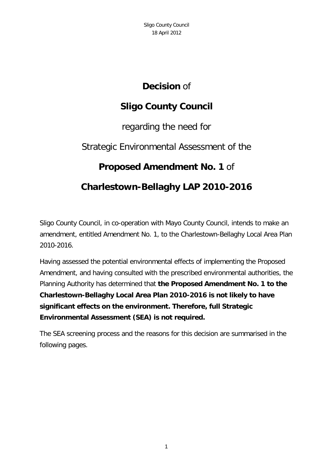## **Decision** of

# **Sligo County Council**

regarding the need for

# Strategic Environmental Assessment of the

# **Proposed Amendment No. 1** of

# **Charlestown-Bellaghy LAP 2010-2016**

Sligo County Council, in co-operation with Mayo County Council, intends to make an amendment, entitled Amendment No. 1, to the Charlestown-Bellaghy Local Area Plan 2010-2016.

Having assessed the potential environmental effects of implementing the Proposed Amendment, and having consulted with the prescribed environmental authorities, the Planning Authority has determined that **the Proposed Amendment No. 1 to the Charlestown-Bellaghy Local Area Plan 2010-2016 is not likely to have significant effects on the environment. Therefore, full Strategic Environmental Assessment (SEA) is not required.**

The SEA screening process and the reasons for this decision are summarised in the following pages.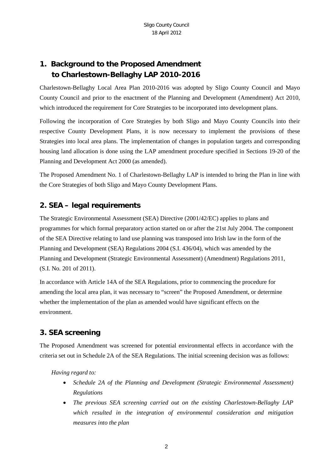## **1. Background to the Proposed Amendment to Charlestown-Bellaghy LAP 2010-2016**

Charlestown-Bellaghy Local Area Plan 2010-2016 was adopted by Sligo County Council and Mayo County Council and prior to the enactment of the Planning and Development (Amendment) Act 2010, which introduced the requirement for Core Strategies to be incorporated into development plans.

Following the incorporation of Core Strategies by both Sligo and Mayo County Councils into their respective County Development Plans, it is now necessary to implement the provisions of these Strategies into local area plans. The implementation of changes in population targets and corresponding housing land allocation is done using the LAP amendment procedure specified in Sections 19-20 of the Planning and Development Act 2000 (as amended).

The Proposed Amendment No. 1 of Charlestown-Bellaghy LAP is intended to bring the Plan in line with the Core Strategies of both Sligo and Mayo County Development Plans.

### **2. SEA – legal requirements**

The Strategic Environmental Assessment (SEA) Directive (2001/42/EC) applies to plans and programmes for which formal preparatory action started on or after the 21st July 2004. The component of the SEA Directive relating to land use planning was transposed into Irish law in the form of the Planning and Development (SEA) Regulations 2004 (S.I. 436/04), which was amended by the Planning and Development (Strategic Environmental Assessment) (Amendment) Regulations 2011, (S.I. No. 201 of 2011).

In accordance with Article 14A of the SEA Regulations, prior to commencing the procedure for amending the local area plan, it was necessary to "screen" the Proposed Amendment, or determine whether the implementation of the plan as amended would have significant effects on the environment.

### **3. SEA screening**

The Proposed Amendment was screened for potential environmental effects in accordance with the criteria set out in Schedule 2A of the SEA Regulations. The initial screening decision was as follows:

*Having regard to:*

- *Schedule 2A of the Planning and Development (Strategic Environmental Assessment) Regulations*
- *The previous SEA screening carried out on the existing Charlestown-Bellaghy LAP which resulted in the integration of environmental consideration and mitigation measures into the plan*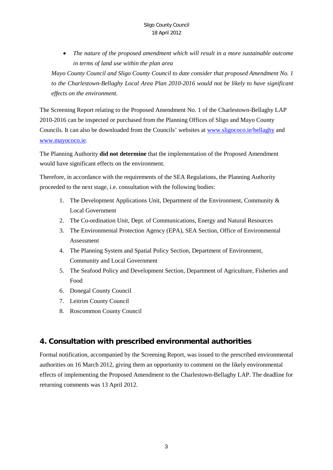• *The nature of the proposed amendment which will result in a more sustainable outcome in terms of land use within the plan area*

*Mayo County Council and Sligo County Council to date consider that proposed Amendment No. 1 to the Charlestown-Bellaghy Local Area Plan 2010-2016 would not be likely to have significant effects on the environment.*

The Screening Report relating to the Proposed Amendment No. 1 of the Charlestown-Bellaghy LAP 2010-2016 can be inspected or purchased from the Planning Offices of Sligo and Mayo County Councils. It can also be downloaded from the Councils' websites at [www.sligococo.ie/bellaghy](http://www.sligococo.ie/bellaghy) and [www.mayococo.ie.](http://www.mayococo.ie/)

The Planning Authority **did not determine** that the implementation of the Proposed Amendment would have significant effects on the environment.

Therefore, in accordance with the requirements of the SEA Regulations, the Planning Authority proceeded to the next stage, i.e. consultation with the following bodies:

- 1. The Development Applications Unit, Department of the Environment, Community & Local Government
- 2. The Co-ordination Unit, Dept. of Communications, Energy and Natural Resources
- 3. The Environmental Protection Agency (EPA), SEA Section, Office of Environmental Assessment
- 4. The Planning System and Spatial Policy Section, Department of Environment, Community and Local Government
- 5. The Seafood Policy and Development Section, Department of Agriculture, Fisheries and Food
- 6. Donegal County Council
- 7. Leitrim County Council
- 8. Roscommon County Council

#### **4. Consultation with prescribed environmental authorities**

Formal notification, accompanied by the Screening Report, was issued to the prescribed environmental authorities on 16 March 2012, giving them an opportunity to comment on the likely environmental effects of implementing the Proposed Amendment to the Charlestown-Bellaghy LAP. The deadline for returning comments was 13 April 2012.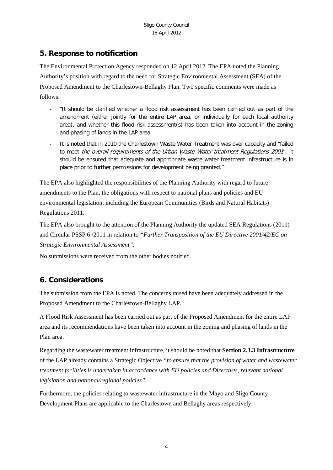### **5. Response to notification**

The Environmental Protection Agency responded on 12 April 2012. The EPA noted the Planning Authority's position with regard to the need for Strategic Environmental Assessment (SEA) of the Proposed Amendment to the Charlestown-Bellaghy Plan. Two specific comments were made as follows:

- "It should be clarified whether a flood risk assessment has been carried out as part of the amendment (either jointly for the entire LAP area, or individually for each local authority area), and whether this flood risk assessment(s) has been taken into account in the zoning and phasing of lands in the LAP area.
- It is noted that in 2010 the Charlestown Waste Water Treatment was over capacity and "failed to meet the overall requirements of the Urban Waste Water treatment Regulations 2001". It should be ensured that adequate and appropriate waste water treatment infrastructure is in place prior to further permissions for development being granted."

The EPA also highlighted the responsibilities of the Planning Authority with regard to future amendments to the Plan, the obligations with respect to national plans and policies and EU environmental legislation, including the European Communities (Birds and Natural Habitats) Regulations 2011.

The EPA also brought to the attention of the Planning Authority the updated SEA Regulations (2011) and Circular PSSP 6 /2011 in relation to *"Further Transposition of the EU Directive 2001/42/EC on Strategic Environmental Assessment".*

No submissions were received from the other bodies notified.

### **6. Considerations**

The submission from the EPA is noted. The concerns raised have been adequately addressed in the Proposed Amendment to the Charlestown-Bellaghy LAP.

A Flood Risk Assessment has been carried out as part of the Proposed Amendment for the entire LAP area and its recommendations have been taken into account in the zoning and phasing of lands in the Plan area.

Regarding the wastewater treatment infrastructure, it should be noted that **Section 2.3.3 Infrastructure** of the LAP already contains a Strategic Objective *"to ensure that the provision of water and wastewater treatment facilities is undertaken in accordance with EU policies and Directives, relevant national legislation and national/regional policies".*

Furthermore, the policies relating to wastewater infrastructure in the Mayo and Sligo County Development Plans are applicable to the Charlestown and Bellaghy areas respectively.